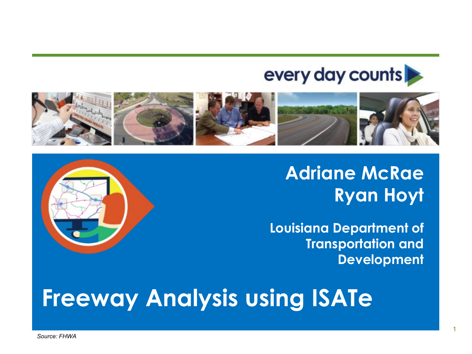#### every day counts



**Adriane McRae Ryan Hoyt**

**Louisiana Department of Transportation and Development**



*Source: FHWA*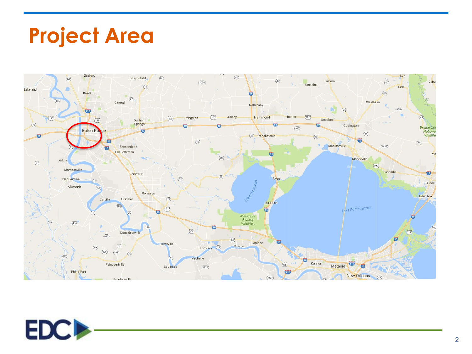

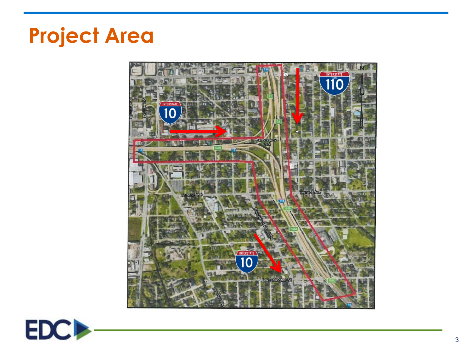

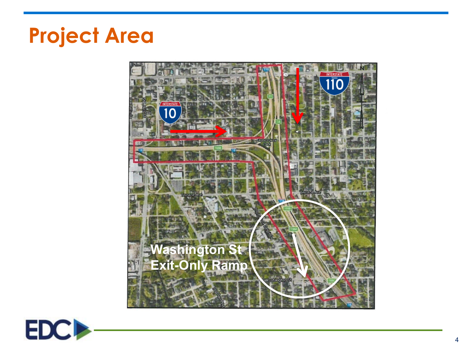

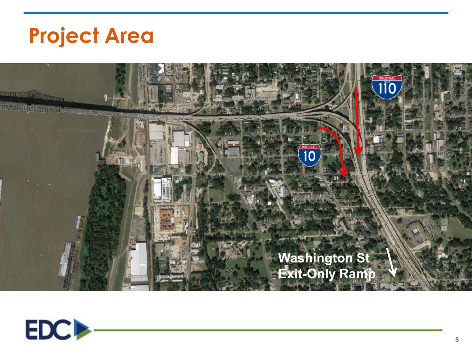

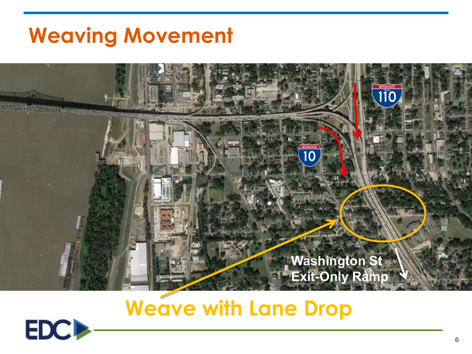#### **Weaving Movement**



**Weave with Lane Drop**

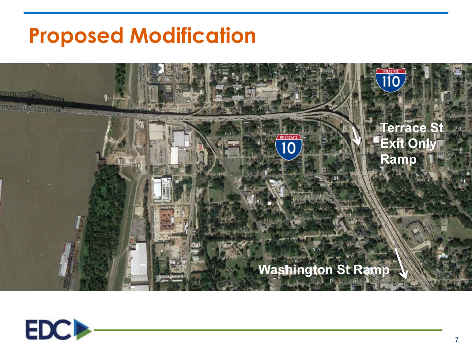#### **Proposed Modification**



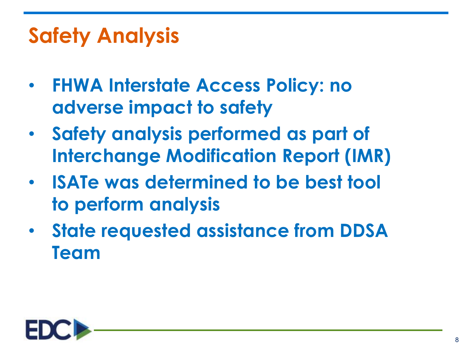## **Safety Analysis**

- **FHWA Interstate Access Policy: no adverse impact to safety**
- **Safety analysis performed as part of Interchange Modification Report (IMR)**
- **ISATe was determined to be best tool to perform analysis**
- **State requested assistance from DDSA Team**

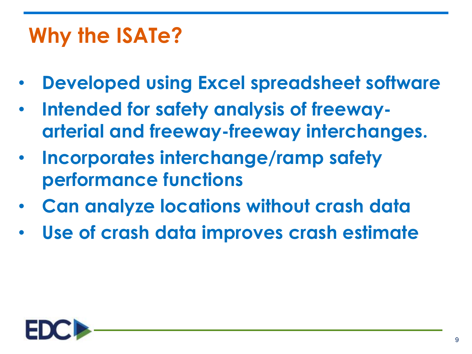# **Why the ISATe?**

- **Developed using Excel spreadsheet software**
- **Intended for safety analysis of freewayarterial and freeway-freeway interchanges.**
- **Incorporates interchange/ramp safety performance functions**
- **Can analyze locations without crash data**
- **Use of crash data improves crash estimate**

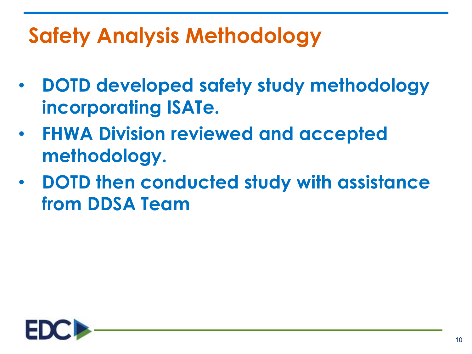# **Safety Analysis Methodology**

- **DOTD developed safety study methodology incorporating ISATe.**
- **FHWA Division reviewed and accepted methodology.**
- **DOTD then conducted study with assistance from DDSA Team**

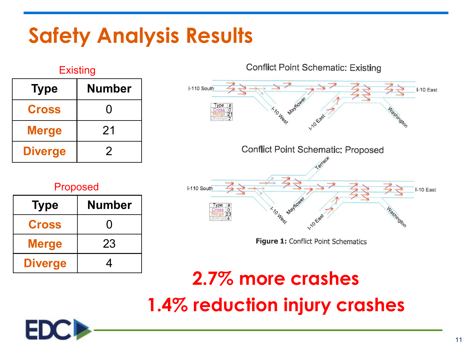## **Safety Analysis Results**

| <b>Type</b>    | ∟∧юшц<br><b>Number</b> |
|----------------|------------------------|
| <b>Cross</b>   | O                      |
| <b>Merge</b>   | 21                     |
| <b>Diverge</b> | 2                      |

**Evicting** 

#### Proposed

| <b>Type</b>    | <b>Number</b> |
|----------------|---------------|
| <b>Cross</b>   | 0             |
| <b>Merge</b>   | 23            |
| <b>Diverge</b> |               |

**Conflict Point Schematic: Existing** I-110 South  $I-10$  East ashington **HO** Conflict Point Schematic: Proposed I-110 South I-10 East **HOR** 

Figure 1: Conflict Point Schematics

#### **2.7% more crashes 1.4% reduction injury crashes**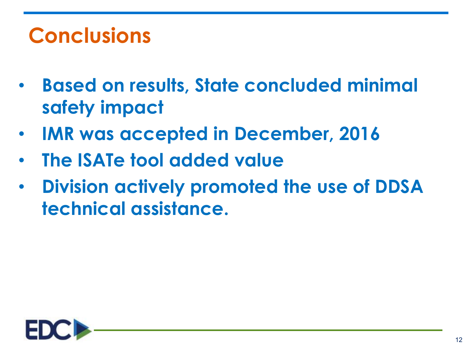## **Conclusions**

- **Based on results, State concluded minimal safety impact**
- **IMR was accepted in December, 2016**
- **The ISATe tool added value**
- **Division actively promoted the use of DDSA technical assistance.**